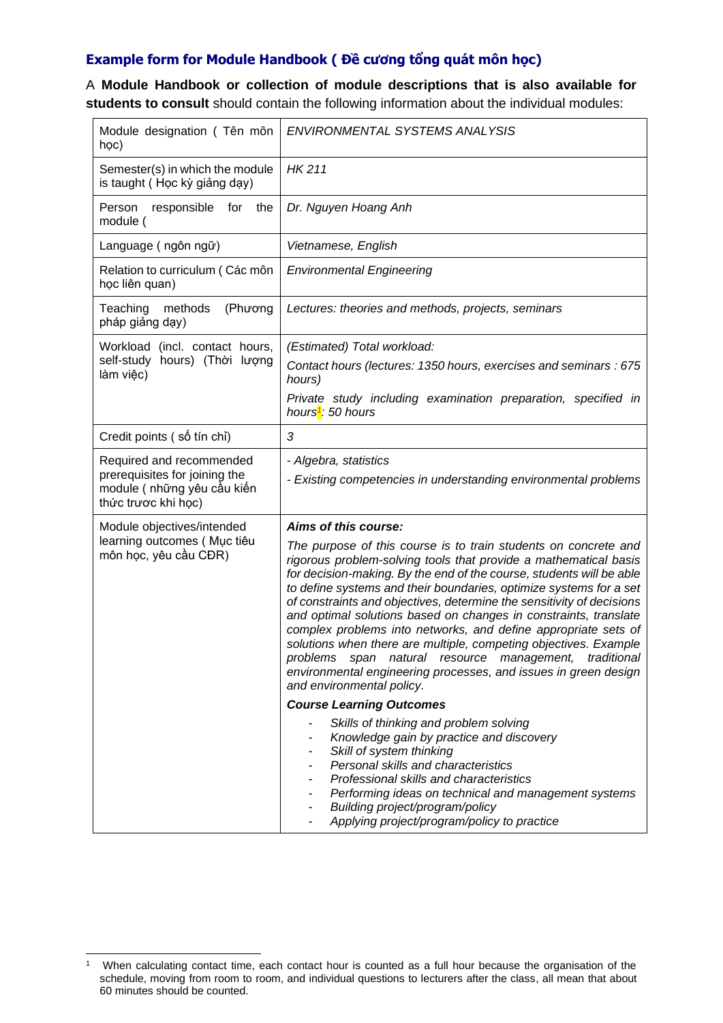## **Example form for Module Handbook ( Đề cương tổng quát môn học)**

A **Module Handbook or collection of module descriptions that is also available for students to consult** should contain the following information about the individual modules:

| Module designation (Tên môn<br>học)                                                                            | ENVIRONMENTAL SYSTEMS ANALYSIS                                                                                                                                                                                                                                                                                                                                                                                                                                                                                                                                                                                                                                                                                                                                                                                                                                                                                                                                                                                                                                                                                                                   |
|----------------------------------------------------------------------------------------------------------------|--------------------------------------------------------------------------------------------------------------------------------------------------------------------------------------------------------------------------------------------------------------------------------------------------------------------------------------------------------------------------------------------------------------------------------------------------------------------------------------------------------------------------------------------------------------------------------------------------------------------------------------------------------------------------------------------------------------------------------------------------------------------------------------------------------------------------------------------------------------------------------------------------------------------------------------------------------------------------------------------------------------------------------------------------------------------------------------------------------------------------------------------------|
| Semester(s) in which the module<br>is taught (Học kỳ giảng dạy)                                                | <b>HK211</b>                                                                                                                                                                                                                                                                                                                                                                                                                                                                                                                                                                                                                                                                                                                                                                                                                                                                                                                                                                                                                                                                                                                                     |
| Person<br>responsible<br>the<br>for<br>module (                                                                | Dr. Nguyen Hoang Anh                                                                                                                                                                                                                                                                                                                                                                                                                                                                                                                                                                                                                                                                                                                                                                                                                                                                                                                                                                                                                                                                                                                             |
| Language (ngôn ngữ)                                                                                            | Vietnamese, English                                                                                                                                                                                                                                                                                                                                                                                                                                                                                                                                                                                                                                                                                                                                                                                                                                                                                                                                                                                                                                                                                                                              |
| Relation to curriculum (Các môn<br>học liên quan)                                                              | <b>Environmental Engineering</b>                                                                                                                                                                                                                                                                                                                                                                                                                                                                                                                                                                                                                                                                                                                                                                                                                                                                                                                                                                                                                                                                                                                 |
| Teaching<br>methods<br>(Phương<br>pháp giảng dạy)                                                              | Lectures: theories and methods, projects, seminars                                                                                                                                                                                                                                                                                                                                                                                                                                                                                                                                                                                                                                                                                                                                                                                                                                                                                                                                                                                                                                                                                               |
| Workload (incl. contact hours,<br>self-study hours) (Thời lượng<br>làm việc)                                   | (Estimated) Total workload:                                                                                                                                                                                                                                                                                                                                                                                                                                                                                                                                                                                                                                                                                                                                                                                                                                                                                                                                                                                                                                                                                                                      |
|                                                                                                                | Contact hours (lectures: 1350 hours, exercises and seminars : 675<br>hours)                                                                                                                                                                                                                                                                                                                                                                                                                                                                                                                                                                                                                                                                                                                                                                                                                                                                                                                                                                                                                                                                      |
|                                                                                                                | Private study including examination preparation, specified in<br>hours <sup>1</sup> : 50 hours                                                                                                                                                                                                                                                                                                                                                                                                                                                                                                                                                                                                                                                                                                                                                                                                                                                                                                                                                                                                                                                   |
| Credit points (số tín chỉ)                                                                                     | 3                                                                                                                                                                                                                                                                                                                                                                                                                                                                                                                                                                                                                                                                                                                                                                                                                                                                                                                                                                                                                                                                                                                                                |
| Required and recommended<br>prerequisites for joining the<br>module (những yêu cầu kiến<br>thức trược khi học) | - Algebra, statistics<br>- Existing competencies in understanding environmental problems                                                                                                                                                                                                                                                                                                                                                                                                                                                                                                                                                                                                                                                                                                                                                                                                                                                                                                                                                                                                                                                         |
| Module objectives/intended<br>learning outcomes (Mục tiêu<br>môn học, yêu cầu CĐR)                             | Aims of this course:<br>The purpose of this course is to train students on concrete and<br>rigorous problem-solving tools that provide a mathematical basis<br>for decision-making. By the end of the course, students will be able<br>to define systems and their boundaries, optimize systems for a set<br>of constraints and objectives, determine the sensitivity of decisions<br>and optimal solutions based on changes in constraints, translate<br>complex problems into networks, and define appropriate sets of<br>solutions when there are multiple, competing objectives. Example<br>problems<br>traditional<br>natural resource management,<br>span<br>environmental engineering processes, and issues in green design<br>and environmental policy.<br><b>Course Learning Outcomes</b><br>Skills of thinking and problem solving<br>Knowledge gain by practice and discovery<br>Skill of system thinking<br>Personal skills and characteristics<br>Professional skills and characteristics<br>Performing ideas on technical and management systems<br>Building project/program/policy<br>Applying project/program/policy to practice |

<sup>1</sup> When calculating contact time, each contact hour is counted as a full hour because the organisation of the schedule, moving from room to room, and individual questions to lecturers after the class, all mean that about 60 minutes should be counted.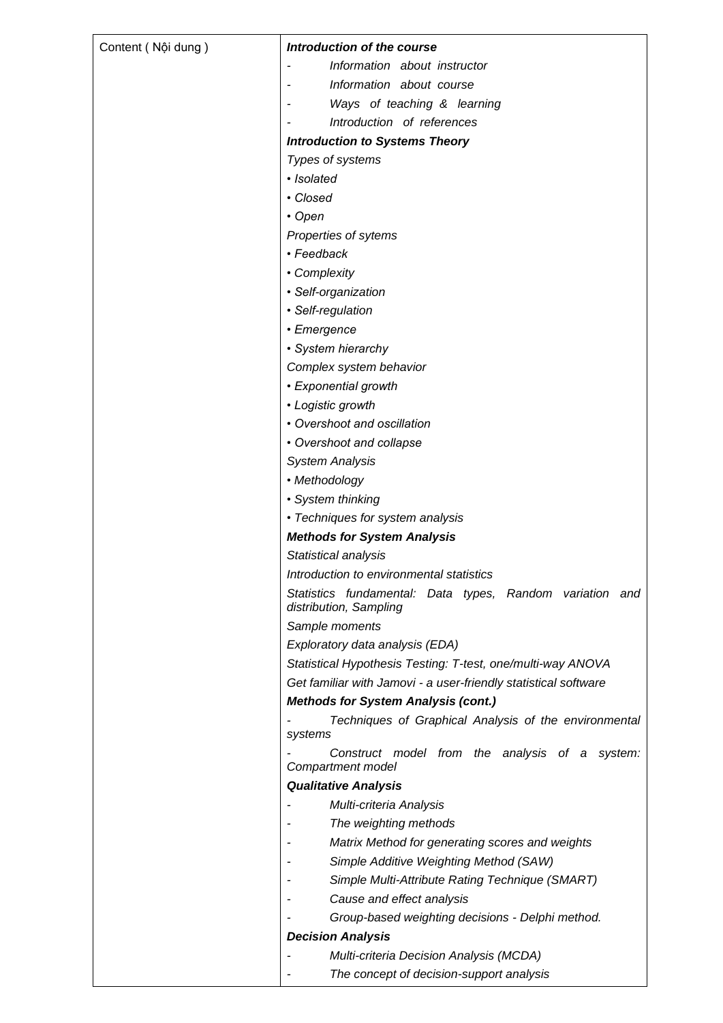| Content (Nội dung) | Introduction of the course                                                         |
|--------------------|------------------------------------------------------------------------------------|
|                    | Information about instructor                                                       |
|                    | Information about course                                                           |
|                    | Ways of teaching & learning                                                        |
|                    | Introduction of references                                                         |
|                    | <b>Introduction to Systems Theory</b>                                              |
|                    | Types of systems                                                                   |
|                    | · Isolated                                                                         |
|                    | • Closed                                                                           |
|                    | $\cdot$ Open                                                                       |
|                    | Properties of sytems                                                               |
|                    | • Feedback                                                                         |
|                    | • Complexity                                                                       |
|                    | • Self-organization                                                                |
|                    | • Self-regulation                                                                  |
|                    | • Emergence                                                                        |
|                    | · System hierarchy                                                                 |
|                    |                                                                                    |
|                    | Complex system behavior                                                            |
|                    | • Exponential growth                                                               |
|                    | • Logistic growth                                                                  |
|                    | • Overshoot and oscillation                                                        |
|                    | • Overshoot and collapse                                                           |
|                    | <b>System Analysis</b>                                                             |
|                    | • Methodology                                                                      |
|                    | • System thinking                                                                  |
|                    | • Techniques for system analysis                                                   |
|                    | <b>Methods for System Analysis</b>                                                 |
|                    | Statistical analysis                                                               |
|                    | Introduction to environmental statistics                                           |
|                    | Statistics fundamental: Data types, Random variation and<br>distribution, Sampling |
|                    | Sample moments                                                                     |
|                    | Exploratory data analysis (EDA)                                                    |
|                    | Statistical Hypothesis Testing: T-test, one/multi-way ANOVA                        |
|                    | Get familiar with Jamovi - a user-friendly statistical software                    |
|                    | <b>Methods for System Analysis (cont.)</b>                                         |
|                    | Techniques of Graphical Analysis of the environmental<br>systems                   |
|                    | Construct model from the analysis of a system:<br>Compartment model                |
|                    | <b>Qualitative Analysis</b>                                                        |
|                    | Multi-criteria Analysis                                                            |
|                    | The weighting methods                                                              |
|                    | Matrix Method for generating scores and weights                                    |
|                    | Simple Additive Weighting Method (SAW)                                             |
|                    | Simple Multi-Attribute Rating Technique (SMART)                                    |
|                    | Cause and effect analysis                                                          |
|                    | Group-based weighting decisions - Delphi method.                                   |
|                    | <b>Decision Analysis</b>                                                           |
|                    | Multi-criteria Decision Analysis (MCDA)                                            |
|                    | The concept of decision-support analysis                                           |
|                    |                                                                                    |